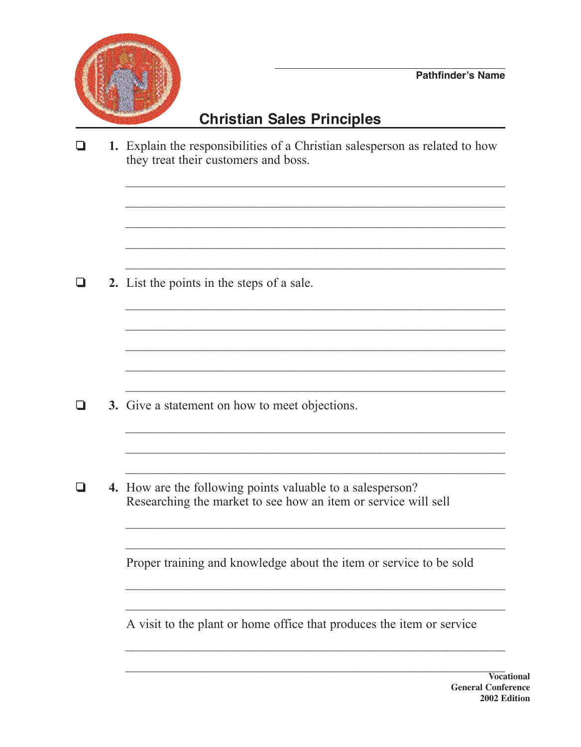

## **Christian Sales Principles**

1. Explain the responsibilities of a Christian salesperson as related to how  $\Box$ they treat their customers and boss.

2. List the points in the steps of a sale.  $\Box$ 

- $\Box$ 3. Give a statement on how to meet objections.
- $\Box$ 4. How are the following points valuable to a salesperson? Researching the market to see how an item or service will sell

Proper training and knowledge about the item or service to be sold

A visit to the plant or home office that produces the item or service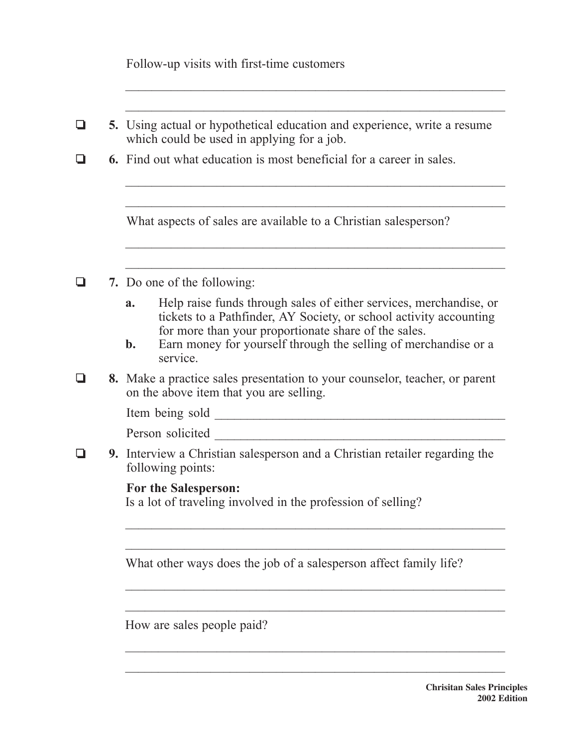|   | Follow-up visits with first-time customers                                                                                                     |
|---|------------------------------------------------------------------------------------------------------------------------------------------------|
|   |                                                                                                                                                |
| ⊔ | 5. Using actual or hypothetical education and experience, write a resume<br>which could be used in applying for a job.                         |
|   | <b>6.</b> Find out what education is most beneficial for a career in sales.                                                                    |
|   | What aspects of sales are available to a Christian salesperson?                                                                                |
|   | 7. Do one of the following:                                                                                                                    |
|   | Help raise funds through sales of either services, merchandise, or<br>a.<br>tickets to a Pathfinder, AY Society, or school activity accounting |
|   | for more than your proportionate share of the sales.<br>Earn money for yourself through the selling of merchandise or a<br>b.<br>service.      |
|   | 8. Make a practice sales presentation to your counselor, teacher, or parent<br>on the above item that you are selling.                         |
|   | Item being sold <u>said</u>                                                                                                                    |
|   | Person solicited                                                                                                                               |
|   | 9. Interview a Christian salesperson and a Christian retailer regarding the<br>following points:                                               |
|   | For the Salesperson:<br>Is a lot of traveling involved in the profession of selling?                                                           |
|   |                                                                                                                                                |
|   | What other ways does the job of a salesperson affect family life?                                                                              |
|   |                                                                                                                                                |
|   | How are sales people paid?                                                                                                                     |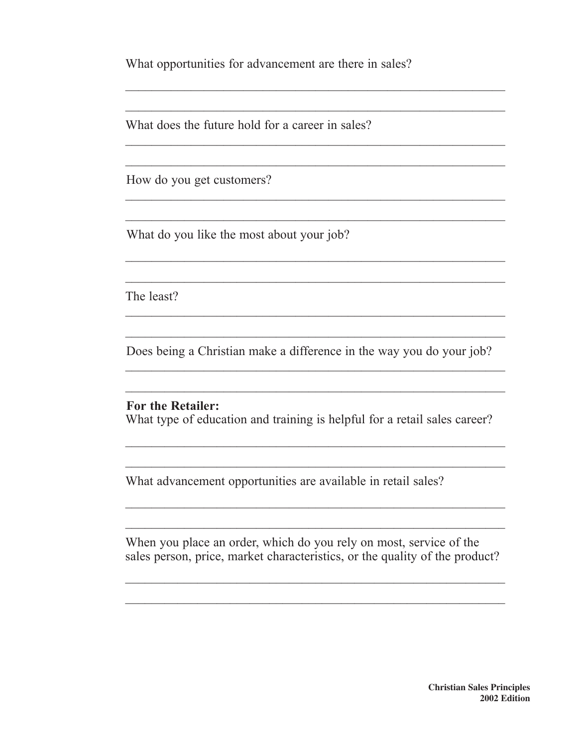What opportunities for advancement are there in sales?

 $\mathcal{L}_\mathcal{L}$  , and the contribution of the contribution of the contribution of the contribution of the contribution of the contribution of the contribution of the contribution of the contribution of the contribution of

 $\mathcal{L}_\text{max}$  and  $\mathcal{L}_\text{max}$  and  $\mathcal{L}_\text{max}$  and  $\mathcal{L}_\text{max}$  and  $\mathcal{L}_\text{max}$  and  $\mathcal{L}_\text{max}$ 

 $\mathcal{L}_\text{max}$  and  $\mathcal{L}_\text{max}$  and  $\mathcal{L}_\text{max}$  and  $\mathcal{L}_\text{max}$  and  $\mathcal{L}_\text{max}$  and  $\mathcal{L}_\text{max}$ 

 $\mathcal{L}_\text{max}$  and the contract of the contract of the contract of the contract of the contract of the contract of

 $\mathcal{L}_\text{max}$  and  $\mathcal{L}_\text{max}$  and  $\mathcal{L}_\text{max}$  and  $\mathcal{L}_\text{max}$  and  $\mathcal{L}_\text{max}$  and  $\mathcal{L}_\text{max}$ 

 $\mathcal{L}_\text{max}$  , and the contract of the contract of the contract of the contract of the contract of the contract of the contract of the contract of the contract of the contract of the contract of the contract of the contr

What does the future hold for a career in sales?

How do you get customers?

What do you like the most about your job?

The least?

Does being a Christian make a difference in the way you do your job?

 $\mathcal{L}_\text{max}$  and  $\mathcal{L}_\text{max}$  and  $\mathcal{L}_\text{max}$  and  $\mathcal{L}_\text{max}$  and  $\mathcal{L}_\text{max}$  and  $\mathcal{L}_\text{max}$ 

 $\mathcal{L}_\text{max}$  and  $\mathcal{L}_\text{max}$  and  $\mathcal{L}_\text{max}$  and  $\mathcal{L}_\text{max}$  and  $\mathcal{L}_\text{max}$  and  $\mathcal{L}_\text{max}$ 

 $\mathcal{L}_\text{max}$  and  $\mathcal{L}_\text{max}$  and  $\mathcal{L}_\text{max}$  and  $\mathcal{L}_\text{max}$  and  $\mathcal{L}_\text{max}$  and  $\mathcal{L}_\text{max}$ 

 $\mathcal{L}_\text{max}$  and the contract of the contract of the contract of the contract of the contract of the contract of

 $\mathcal{L}_\text{max}$  and  $\mathcal{L}_\text{max}$  and  $\mathcal{L}_\text{max}$  and  $\mathcal{L}_\text{max}$  and  $\mathcal{L}_\text{max}$  and  $\mathcal{L}_\text{max}$ 

 $\mathcal{L}_\text{max}$  and  $\mathcal{L}_\text{max}$  and  $\mathcal{L}_\text{max}$  and  $\mathcal{L}_\text{max}$  and  $\mathcal{L}_\text{max}$  and  $\mathcal{L}_\text{max}$ 

**For the Retailer:** What type of education and training is helpful for a retail sales career?

What advancement opportunities are available in retail sales?

When you place an order, which do you rely on most, service of the sales person, price, market characteristics, or the quality of the product?

 $\mathcal{L}_\text{max}$  , and the contract of the contract of the contract of the contract of the contract of the contract of the contract of the contract of the contract of the contract of the contract of the contract of the contr

 $\mathcal{L}_\text{max}$  , and the contract of the contract of the contract of the contract of the contract of the contract of the contract of the contract of the contract of the contract of the contract of the contract of the contr